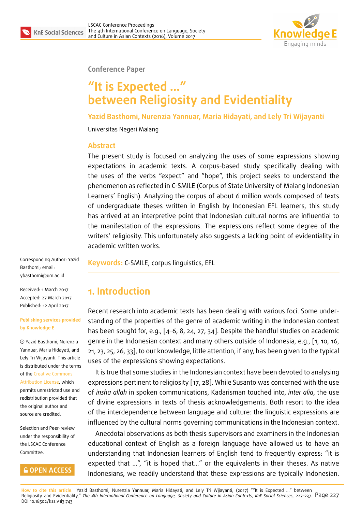

**Conference Paper**

# **"It is Expected …" between Religiosity and Evidentiality**

**Yazid Basthomi, Nurenzia Yannuar, Maria Hidayati, and Lely Tri Wijayanti**

Universitas Negeri Malang

#### **Abstract**

The present study is focused on analyzing the uses of some expressions showing expectations in academic texts. A corpus-based study specifically dealing with the uses of the verbs "expect" and "hope", this project seeks to understand the phenomenon as reflected in C-SMILE (Corpus of State University of Malang Indonesian Learners' English). Analyzing the corpus of about 6 million words composed of texts of undergraduate theses written in English by Indonesian EFL learners, this study has arrived at an interpretive point that Indonesian cultural norms are influential to the manifestation of the expressions. The expressions reflect some degree of the writers' religiosity. This unfortunately also suggests a lacking point of evidentiality in academic written works.

Corresponding Author: Yazid Basthomi; email: ybasthomi@um.ac.id

Received: 1 March 2017 Accepted: 27 March 2017 [Published: 12 April 201](mailto:ybasthomi@um.ac.id)7

#### **Publishing services provided by Knowledge E**

Yazid Basthomi, Nurenzia Yannuar, Maria Hidayati, and Lely Tri Wijayanti. This article is distributed under the terms of the Creative Commons Attribution License, which permits unrestricted use and redistribution provided that the ori[ginal author and](https://creativecommons.org/licenses/by/4.0/) [source are credited](https://creativecommons.org/licenses/by/4.0/).

Selection and Peer-review under the responsibility of the LSCAC Conference Committee.

### **COPEN ACCESS**

**Keywords:** C-SMILE, corpus linguistics, EFL

### **1. Introduction**

Recent research into academic texts has been dealing with various foci. Some understanding of the properties of the genre of academic writing in the Indonesian context has been sought for, e.g., [4–6, 8, 24, 27, 34]. Despite the handful studies on academic genre in the Indonesian context and many others outside of Indonesia, e.g., [1, 10, 16, 21, 23, 25, 26, 33], to our knowledge, little attention, if any, has been given to the typical uses of the expressions s[ho](#page-8-0)[wi](#page-8-1)[ng](#page-8-2) [exp](#page-10-0)[ect](#page-10-1)[atio](#page-10-2)ns.

It is true that some studies in the Indonesian context have been devoted to [an](#page-8-3)[alys](#page-9-0)[ing](#page-9-1) [ex](#page-9-2)[pre](#page-9-3)[ssio](#page-10-3)[ns](#page-10-4) [per](#page-10-5)tinent to religiosity [17, 28]. While Susanto was concerned with the use of *insha allah* in spoken communications, Kadarisman touched into, *inter alia*, the use of divine expressions in texts of thesis acknowledgements. Both resort to the idea of the interdependence between l[ang](#page-9-4)[uag](#page-10-6)e and culture: the linguistic expressions are influenced by the cultural norms governing communications in the Indonesian context.

Anecdotal observations as both thesis supervisors and examiners in the Indonesian educational context of English as a foreign language have allowed us to have an understanding that Indonesian learners of English tend to frequently express: "it is expected that ...", "it is hoped that..." or the equivalents in their theses. As native Indonesians, we readily understand that these expressions are typically Indonesian.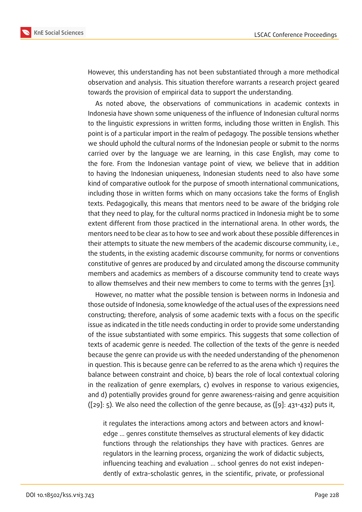However, this understanding has not been substantiated through a more methodical observation and analysis. This situation therefore warrants a research project geared towards the provision of empirical data to support the understanding.

As noted above, the observations of communications in academic contexts in Indonesia have shown some uniqueness of the influence of Indonesian cultural norms to the linguistic expressions in written forms, including those written in English. This point is of a particular import in the realm of pedagogy. The possible tensions whether we should uphold the cultural norms of the Indonesian people or submit to the norms carried over by the language we are learning, in this case English, may come to the fore. From the Indonesian vantage point of view, we believe that in addition to having the Indonesian uniqueness, Indonesian students need to also have some kind of comparative outlook for the purpose of smooth international communications, including those in written forms which on many occasions take the forms of English texts. Pedagogically, this means that mentors need to be aware of the bridging role that they need to play, for the cultural norms practiced in Indonesia might be to some extent different from those practiced in the international arena. In other words, the mentors need to be clear as to how to see and work about these possible differences in their attempts to situate the new members of the academic discourse community, i.e., the students, in the existing academic discourse community, for norms or conventions constitutive of genres are produced by and circulated among the discourse community members and academics as members of a discourse community tend to create ways to allow themselves and their new members to come to terms with the genres [31].

However, no matter what the possible tension is between norms in Indonesia and those outside of Indonesia, some knowledge of the actual uses of the expressions need constructing; therefore, analysis of some academic texts with a focus on the sp[eci](#page-10-7)fic issue as indicated in the title needs conducting in order to provide some understanding of the issue substantiated with some empirics. This suggests that some collection of texts of academic genre is needed. The collection of the texts of the genre is needed because the genre can provide us with the needed understanding of the phenomenon in question. This is because genre can be referred to as the arena which 1) requires the balance between constraint and choice, b) bears the role of local contextual coloring in the realization of genre exemplars, c) evolves in response to various exigencies, and d) potentially provides ground for genre awareness-raising and genre acquisition  $([29]: 5)$ . We also need the collection of the genre because, as  $([9]: 431-432)$  puts it,

it regulates the interactions among actors and between actors and knowledge … genres constitute themselves as structural element[s](#page-9-5) of key didactic functions through the relationships they have with practices. Genres are regulators in the learning process, organizing the work of didactic subjects, influencing teaching and evaluation … school genres do not exist independently of extra-scholastic genres, in the scientific, private, or professional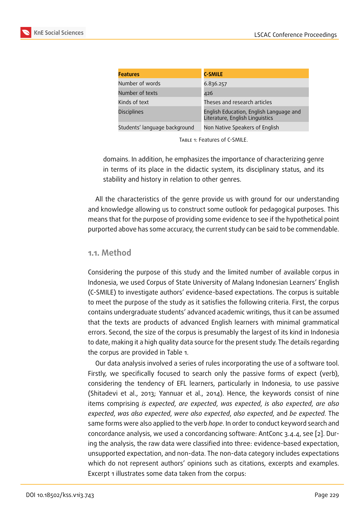| <b>Features</b>               | <b>C-SMILE</b>                                                             |
|-------------------------------|----------------------------------------------------------------------------|
| Number of words               | 6.836.257                                                                  |
| Number of texts               | 426                                                                        |
| Kinds of text                 | Theses and research articles                                               |
| <b>Disciplines</b>            | English Education, English Language and<br>Literature, English Linguistics |
| Students' language background | Non Native Speakers of English                                             |

TABLE 1: Features of C-SMILE.

domains. In addition, he emphasizes the importance of characterizing genre in terms of its place in the didactic system, its disciplinary status, and its stability and history in relation to other genres.

All the characteristics of the genre provide us with ground for our understanding and knowledge allowing us to construct some outlook for pedagogical purposes. This means that for the purpose of providing some evidence to see if the hypothetical point purported above has some accuracy, the current study can be said to be commendable.

#### **1.1. Method**

Considering the purpose of this study and the limited number of available corpus in Indonesia, we used Corpus of State University of Malang Indonesian Learners' English (C-SMILE) to investigate authors' evidence-based expectations. The corpus is suitable to meet the purpose of the study as it satisfies the following criteria. First, the corpus contains undergraduate students' advanced academic writings, thus it can be assumed that the texts are products of advanced English learners with minimal grammatical errors. Second, the size of the corpus is presumably the largest of its kind in Indonesia to date, making it a high quality data source for the present study. The details regarding the corpus are provided in Table 1.

Our data analysis involved a series of rules incorporating the use of a software tool. Firstly, we specifically focused to search only the passive forms of expect (verb), considering the tendency of EFL learners, particularly in Indonesia, to use passive (Shitadevi et al., 2013; Yannuar et al., 2014). Hence, the keywords consist of nine items comprising *is expected*, *are expected*, *was expected*, *is also expected*, *are also expected*, *was also expected*, *were also expected*, *also expected*, and *be expected*. The same forms were also applied to the verb *hope*. In order to conduct keyword search and concordance analysis, we used a concordancing software: AntConc 3.4.4, see [2]. During the analysis, the raw data were classified into three: evidence-based expectation, unsupported expectation, and non-data. The non-data category includes expectations which do not represent authors' opinions such as citations, excerpts and ex[am](#page-8-4)ples. Excerpt 1 illustrates some data taken from the corpus: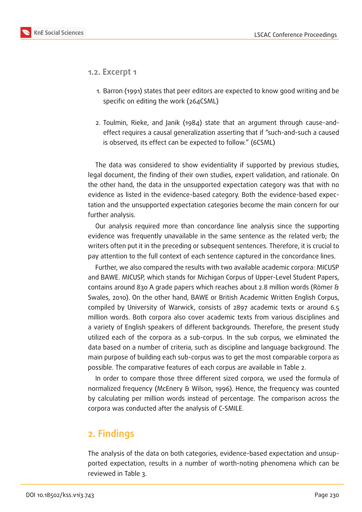

- **1.2. Excerpt 1**
	- 1. Barron (1991) states that peer editors are expected to know good writing and be specific on editing the work (264CSML)
	- 2. Toulmin, Rieke, and Janik (1984) state that an argument through cause-andeffect requires a causal generalization asserting that if "such-and-such a caused is observed, its effect can be expected to follow." (6CSML)

The data was considered to show evidentiality if supported by previous studies, legal document, the finding of their own studies, expert validation, and rationale. On the other hand, the data in the unsupported expectation category was that with no evidence as listed in the evidence-based category. Both the evidence-based expectation and the unsupported expectation categories become the main concern for our further analysis.

Our analysis required more than concordance line analysis since the supporting evidence was frequently unavailable in the same sentence as the related verb; the writers often put it in the preceding or subsequent sentences. Therefore, it is crucial to pay attention to the full context of each sentence captured in the concordance lines.

Further, we also compared the results with two available academic corpora: MICUSP and BAWE. MICUSP, which stands for Michigan Corpus of Upper-Level Student Papers, contains around 830 A grade papers which reaches about 2.8 million words (Römer & Swales, 2010). On the other hand, BAWE or British Academic Written English Corpus, compiled by University of Warwick, consists of 2897 academic texts or around 6.5 million words. Both corpora also cover academic texts from various disciplines and a variety of English speakers of different backgrounds. Therefore, the present study utilized each of the corpora as a sub-corpus. In the sub corpus, we eliminated the data based on a number of criteria, such as discipline and language background. The main purpose of building each sub-corpus was to get the most comparable corpora as possible. The comparative features of each corpus are available in Table 2.

In order to compare those three different sized corpora, we used the formula of normalized frequency (McEnery & Wilson, 1996). Hence, the frequency was counted by calculating per million words instead of percentage. The comparison across the corpora was conducted after the analysis of C-SMILE.

## **2. Findings**

The analysis of the data on both categories, evidence-based expectation and unsupported expectation, results in a number of worth-noting phenomena which can be reviewed in Table 3.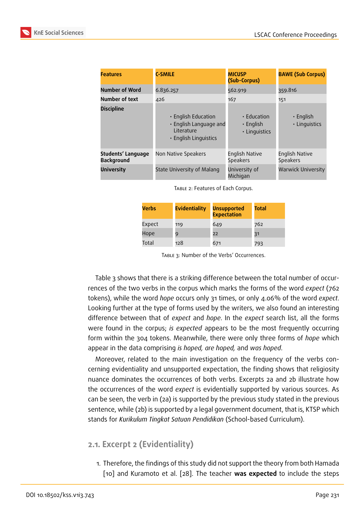| <b>Features</b>                         | <b>C-SMILE</b>                                                                              | <b>MICUSP</b><br>(Sub-Corpus)                   |                                          |
|-----------------------------------------|---------------------------------------------------------------------------------------------|-------------------------------------------------|------------------------------------------|
| <b>Number of Word</b>                   | 6.836.257                                                                                   | 562.919                                         | 359.816                                  |
| Number of text                          | 426                                                                                         | 167                                             | 151                                      |
| <b>Discipline</b>                       | • English Education<br>• English Language and<br><b>Literature</b><br>• English Linguistics | • Education<br>$\cdot$ English<br>· Linguistics | $\cdot$ English<br>· Linguistics         |
| Students' Language<br><b>Background</b> | Non Native Speakers                                                                         | <b>English Native</b><br><b>Speakers</b>        | <b>English Native</b><br><b>Speakers</b> |
| <b>University</b>                       | State University of Malang                                                                  | University of<br>Michigan                       | <b>Warwick University</b>                |

TABLE 2: Features of Each Corpus.

| Verbs  | <b>Evidentiality</b> | <b>Unsupported</b><br><b>Expectation</b> | Total |
|--------|----------------------|------------------------------------------|-------|
| Expect | 119                  | 649                                      | 762   |
| Hope   | 9                    | 22                                       | 31    |
| Total  | 128                  | 671                                      | 793   |

TABLE 3: Number of the Verbs' Occurrences.

Table 3 shows that there is a striking difference between the total number of occurrences of the two verbs in the corpus which marks the forms of the word *expect* (762 tokens), while the word *hope* occurs only 31 times, or only 4.06% of the word *expect*. Looking further at the type of forms used by the writers, we also found an interesting difference between that of *expect* and *hope*. In the *expect* search list, all the forms were found in the corpus; *is expected* appears to be the most frequently occurring form within the 304 tokens. Meanwhile, there were only three forms of *hope* which appear in the data comprising *is hoped, are hoped,* and *was hoped*.

Moreover, related to the main investigation on the frequency of the verbs concerning evidentiality and unsupported expectation, the finding shows that religiosity nuance dominates the occurrences of both verbs. Excerpts 2a and 2b illustrate how the occurrences of the word *expect* is evidentially supported by various sources. As can be seen, the verb in (2a) is supported by the previous study stated in the previous sentence, while (2b) is supported by a legal government document, that is, KTSP which stands for *Kurikulum Tingkat Satuan Pendidikan* (School-based Curriculum).

### **2.1. Excerpt 2 (Evidentiality)**

1. Therefore, the findings of this study did not support the theory from both Hamada [10] and Kuramoto et al. [28]. The teacher **was expected** to include the steps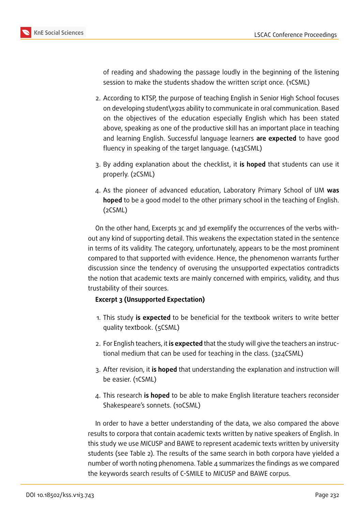

of reading and shadowing the passage loudly in the beginning of the listening session to make the students shadow the written script once. (1CSML)

- 2. According to KTSP, the purpose of teaching English in Senior High School focuses on developing student\x92s ability to communicate in oral communication. Based on the objectives of the education especially English which has been stated above, speaking as one of the productive skill has an important place in teaching and learning English. Successful language learners **are expected** to have good fluency in speaking of the target language. (143CSML)
- 3. By adding explanation about the checklist, it **is hoped** that students can use it properly. (2CSML)
- 4. As the pioneer of advanced education, Laboratory Primary School of UM **was hoped** to be a good model to the other primary school in the teaching of English. (2CSML)

On the other hand, Excerpts 3c and 3d exemplify the occurrences of the verbs without any kind of supporting detail. This weakens the expectation stated in the sentence in terms of its validity. The category, unfortunately, appears to be the most prominent compared to that supported with evidence. Hence, the phenomenon warrants further discussion since the tendency of overusing the unsupported expectatios contradicts the notion that academic texts are mainly concerned with empirics, validity, and thus trustability of their sources.

#### **Excerpt 3 (Unsupported Expectation)**

- 1. This study **is expected** to be beneficial for the textbook writers to write better quality textbook. (5CSML)
- 2. For English teachers, it **is expected** that the study will give the teachers an instructional medium that can be used for teaching in the class. (324CSML)
- 3. After revision, it **is hoped** that understanding the explanation and instruction will be easier. (1CSML)
- 4. This research **is hoped** to be able to make English literature teachers reconsider Shakespeare's sonnets. (10CSML)

In order to have a better understanding of the data, we also compared the above results to corpora that contain academic texts written by native speakers of English. In this study we use MICUSP and BAWE to represent academic texts written by university students (see Table 2). The results of the same search in both corpora have yielded a number of worth noting phenomena. Table 4 summarizes the findings as we compared the keywords search results of C-SMILE to MICUSP and BAWE corpus.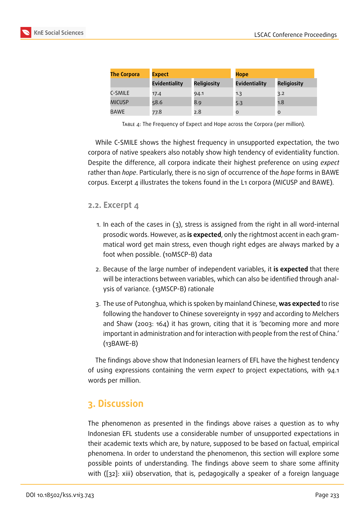| <b>The Corpora</b> | <b>Expect</b>        |                    | <b>Hope</b>          |                    |
|--------------------|----------------------|--------------------|----------------------|--------------------|
|                    | <b>Evidentiality</b> | <b>Religiosity</b> | <b>Evidentiality</b> | <b>Religiosity</b> |
| C-SMILE            | 17.4                 | 94.1               | 1.3                  | 3.2                |
| <b>MICUSP</b>      | 58.6                 | 8.9                | 5.3                  | 1.8                |
| BAWE               | 77.8                 | 2.8                | O                    | O                  |

TABLE 4: The Frequency of Expect and Hope across the Corpora (per million).

While C-SMILE shows the highest frequency in unsupported expectation, the two corpora of native speakers also notably show high tendency of evidentiality function. Despite the difference, all corpora indicate their highest preference on using *expect* rather than *hope*. Particularly, there is no sign of occurrence of the *hope* forms in BAWE corpus. Excerpt 4 illustrates the tokens found in the L1 corpora (MICUSP and BAWE).

#### **2.2. Excerpt 4**

- 1. In each of the cases in (3), stress is assigned from the right in all word-internal prosodic words. However, as **is expected**, only the rightmost accent in each grammatical word get main stress, even though right edges are always marked by a foot when possible. (10MSCP-B) data
- 2. Because of the large number of independent variables, it **is expected** that there will be interactions between variables, which can also be identified through analysis of variance. (13MSCP-B) rationale
- 3. The use of Putonghua, which is spoken by mainland Chinese, **was expected** to rise following the handover to Chinese sovereignty in 1997 and according to Melchers and Shaw (2003: 164) it has grown, citing that it is 'becoming more and more important in administration and for interaction with people from the rest of China.' (13BAWE-B)

The findings above show that Indonesian learners of EFL have the highest tendency of using expressions containing the verm *expect* to project expectations, with 94.1 words per million.

### **3. Discussion**

The phenomenon as presented in the findings above raises a question as to why Indonesian EFL students use a considerable number of unsupported expectations in their academic texts which are, by nature, supposed to be based on factual, empirical phenomena. In order to understand the phenomenon, this section will explore some possible points of understanding. The findings above seem to share some affinity with ([32]: xiii) observation, that is, pedagogically a speaker of a foreign language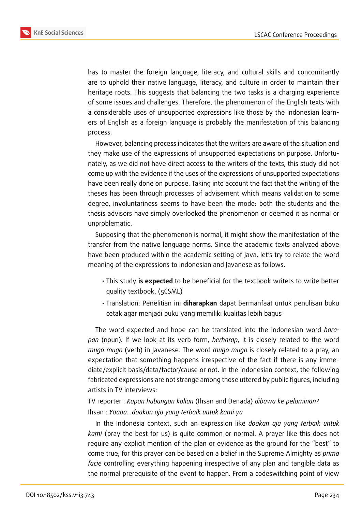

has to master the foreign language, literacy, and cultural skills and concomitantly are to uphold their native language, literacy, and culture in order to maintain their heritage roots. This suggests that balancing the two tasks is a charging experience of some issues and challenges. Therefore, the phenomenon of the English texts with a considerable uses of unsupported expressions like those by the Indonesian learners of English as a foreign language is probably the manifestation of this balancing process.

However, balancing process indicates that the writers are aware of the situation and they make use of the expressions of unsupported expectations on purpose. Unfortunately, as we did not have direct access to the writers of the texts, this study did not come up with the evidence if the uses of the expressions of unsupported expectations have been really done on purpose. Taking into account the fact that the writing of the theses has been through processes of advisement which means validation to some degree, involuntariness seems to have been the mode: both the students and the thesis advisors have simply overlooked the phenomenon or deemed it as normal or unproblematic.

Supposing that the phenomenon is normal, it might show the manifestation of the transfer from the native language norms. Since the academic texts analyzed above have been produced within the academic setting of Java, let's try to relate the word meaning of the expressions to Indonesian and Javanese as follows.

- This study **is expected** to be beneficial for the textbook writers to write better quality textbook. (5CSML)
- Translation: Penelitian ini **diharapkan** dapat bermanfaat untuk penulisan buku cetak agar menjadi buku yang memiliki kualitas lebih bagus

The word expected and hope can be translated into the Indonesian word *harapan* (noun). If we look at its verb form, *berharap*, it is closely related to the word *mugo-mugo* (verb) in Javanese. The word *mugo-mugo* is closely related to a pray, an expectation that something happens irrespective of the fact if there is any immediate/explicit basis/data/factor/cause or not. In the Indonesian context, the following fabricated expressions are not strange among those uttered by public figures, including artists in TV interviews:

TV reporter : *Kapan hubungan kalian* (Ihsan and Denada) *dibawa ke pelaminan?* Ihsan : *Yaaaa…doakan aja yang terbaik untuk kami ya*

In the Indonesia context, such an expression like *doakan aja yang terbaik untuk kami* (pray the best for us) is quite common or normal. A prayer like this does not require any explicit mention of the plan or evidence as the ground for the "best" to come true, for this prayer can be based on a belief in the Supreme Almighty as *prima facie* controlling everything happening irrespective of any plan and tangible data as the normal prerequisite of the event to happen. From a codeswitching point of view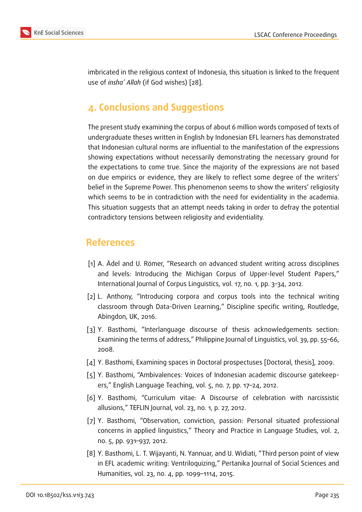imbricated in the religious context of Indonesia, this situation is linked to the frequent use of *insha' Allah* (if God wishes) [28].

## **4. Conclusions and Sug[ges](#page-10-6)tions**

The present study examining the corpus of about 6 million words composed of texts of undergraduate theses written in English by Indonesian EFL learners has demonstrated that Indonesian cultural norms are influential to the manifestation of the expressions showing expectations without necessarily demonstrating the necessary ground for the expectations to come true. Since the majority of the expressions are not based on due empirics or evidence, they are likely to reflect some degree of the writers' belief in the Supreme Power. This phenomenon seems to show the writers' religiosity which seems to be in contradiction with the need for evidentiality in the academia. This situation suggests that an attempt needs taking in order to defray the potential contradictory tensions between religiosity and evidentiality.

### **References**

- [1] A. Ädel and U. Römer, "Research on advanced student writing across disciplines and levels: Introducing the Michigan Corpus of Upper-level Student Papers," International Journal of Corpus Linguistics, vol. 17, no. 1, pp. 3–34, 2012.
- <span id="page-8-3"></span>[2] L. Anthony, "Introducing corpora and corpus tools into the technical writing classroom through Data-Driven Learning," Discipline specific writing, Routledge, Abingdon, UK, 2016.
- <span id="page-8-4"></span>[3] Y. Basthomi, "Interlanguage discourse of thesis acknowledgements section: Examining the terms of address," Philippine Journal of Linguistics, vol. 39, pp. 55–66, 2008.
- [4] Y. Basthomi, Examining spaces in Doctoral prospectuses [Doctoral, thesis], 2009.
- [5] Y. Basthomi, "Ambivalences: Voices of Indonesian academic discourse gatekeepers," English Language Teaching, vol. 5, no. 7, pp. 17–24, 2012.
- <span id="page-8-0"></span>[6] Y. Basthomi, "Curriculum vitae: A Discourse of celebration with narcissistic allusions," TEFLIN Journal, vol. 23, no. 1, p. 27, 2012.
- <span id="page-8-1"></span>[7] Y. Basthomi, "Observation, conviction, passion: Personal situated professional concerns in applied linguistics," Theory and Practice in Language Studies, vol. 2, no. 5, pp. 931–937, 2012.
- <span id="page-8-2"></span>[8] Y. Basthomi, L. T. Wijayanti, N. Yannuar, and U. Widiati, "Third person point of view in EFL academic writing: Ventriloquizing," Pertanika Journal of Social Sciences and Humanities, vol. 23, no. 4, pp. 1099–1114, 2015.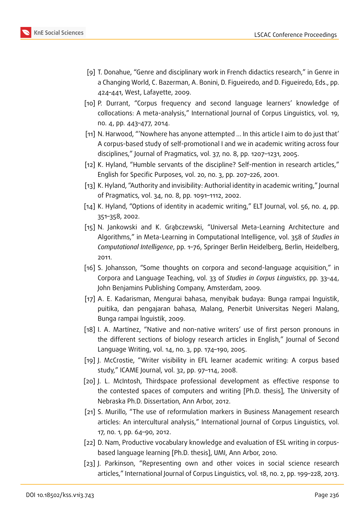

- <span id="page-9-5"></span>[9] T. Donahue, "Genre and disciplinary work in French didactics research," in Genre in a Changing World, C. Bazerman, A. Bonini, D. Figueiredo, and D. Figueiredo, Eds., pp. 424–441, West, Lafayette, 2009.
- <span id="page-9-0"></span>[10] P. Durrant, "Corpus frequency and second language learners' knowledge of collocations: A meta-analysis," International Journal of Corpus Linguistics, vol. 19, no. 4, pp. 443–477, 2014.
- [11] N. Harwood, "'Nowhere has anyone attempted ... In this article I aim to do just that' A corpus-based study of self-promotional I and we in academic writing across four disciplines," Journal of Pragmatics, vol. 37, no. 8, pp. 1207–1231, 2005.
- [12] K. Hyland, "Humble servants of the discipline? Self-mention in research articles," English for Specific Purposes, vol. 20, no. 3, pp. 207–226, 2001.
- [13] K. Hyland, "Authority and invisibility: Authorial identity in academic writing," Journal of Pragmatics, vol. 34, no. 8, pp. 1091–1112, 2002.
- [14] K. Hyland, "Options of identity in academic writing," ELT Journal, vol. 56, no. 4, pp. 351–358, 2002.
- [15] N. Jankowski and K. Grąbczewski, "Universal Meta-Learning Architecture and Algorithms," in Meta-Learning in Computational Intelligence, vol. 358 of *Studies in Computational Intelligence*, pp. 1–76, Springer Berlin Heidelberg, Berlin, Heidelberg, 2011.
- <span id="page-9-1"></span>[16] S. Johansson, "Some thoughts on corpora and second-language acquisition," in Corpora and Language Teaching, vol. 33 of *Studies in Corpus Linguistics*, pp. 33–44, John Benjamins Publishing Company, Amsterdam, 2009.
- <span id="page-9-4"></span>[17] A. E. Kadarisman, Mengurai bahasa, menyibak budaya: Bunga rampai lnguistik, puitika, dan pengajaran bahasa, Malang, Penerbit Universitas Negeri Malang, Bunga rampai lnguistik, 2009.
- [18] I. A. Martínez, "Native and non-native writers' use of first person pronouns in the different sections of biology research articles in English," Journal of Second Language Writing, vol. 14, no. 3, pp. 174–190, 2005.
- [19] J. McCrostie, "Writer visibility in EFL learner academic writing: A corpus based study," ICAME Journal, vol. 32, pp. 97–114, 2008.
- [20] J. L. McIntosh, Thirdspace professional development as effective response to the contested spaces of computers and writing [Ph.D. thesis], The University of Nebraska Ph.D. Dissertation, Ann Arbor, 2012.
- <span id="page-9-2"></span>[21] S. Murillo, "The use of reformulation markers in Business Management research articles: An intercultural analysis," International Journal of Corpus Linguistics, vol. 17, no. 1, pp. 64–90, 2012.
- [22] D. Nam, Productive vocabulary knowledge and evaluation of ESL writing in corpusbased language learning [Ph.D. thesis], UMI, Ann Arbor, 2010.
- <span id="page-9-3"></span>[23] J. Parkinson, "Representing own and other voices in social science research articles," International Journal of Corpus Linguistics, vol. 18, no. 2, pp. 199–228, 2013.